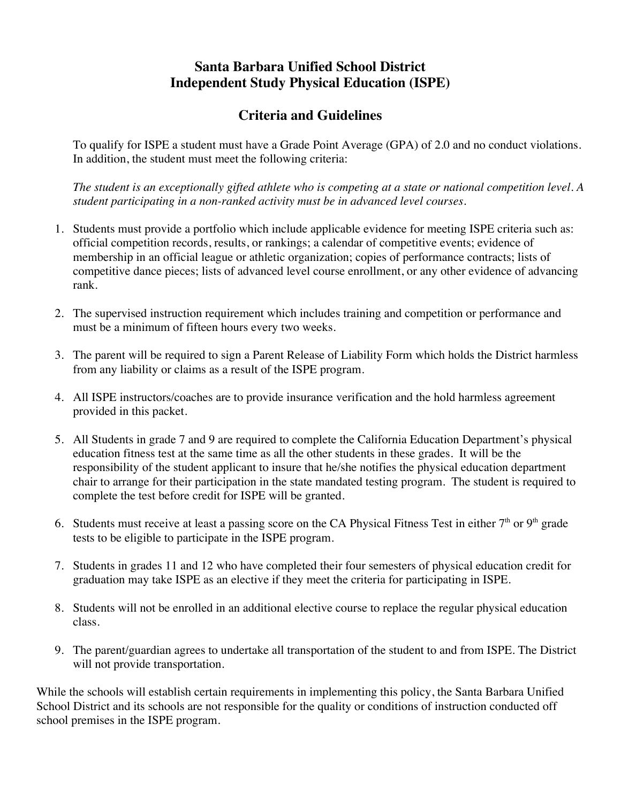## **Criteria and Guidelines**

To qualify for ISPE a student must have a Grade Point Average (GPA) of 2.0 and no conduct violations. In addition, the student must meet the following criteria:

*The student is an exceptionally gifted athlete who is competing at a state or national competition level. A student participating in a non-ranked activity must be in advanced level courses.* 

- 1. Students must provide a portfolio which include applicable evidence for meeting ISPE criteria such as: official competition records, results, or rankings; a calendar of competitive events; evidence of membership in an official league or athletic organization; copies of performance contracts; lists of competitive dance pieces; lists of advanced level course enrollment, or any other evidence of advancing rank.
- 2. The supervised instruction requirement which includes training and competition or performance and must be a minimum of fifteen hours every two weeks.
- 3. The parent will be required to sign a Parent Release of Liability Form which holds the District harmless from any liability or claims as a result of the ISPE program.
- 4. All ISPE instructors/coaches are to provide insurance verification and the hold harmless agreement provided in this packet.
- 5. All Students in grade 7 and 9 are required to complete the California Education Department's physical education fitness test at the same time as all the other students in these grades. It will be the responsibility of the student applicant to insure that he/she notifies the physical education department chair to arrange for their participation in the state mandated testing program. The student is required to complete the test before credit for ISPE will be granted.
- 6. Students must receive at least a passing score on the CA Physical Fitness Test in either  $7<sup>th</sup>$  or  $9<sup>th</sup>$  grade tests to be eligible to participate in the ISPE program.
- 7. Students in grades 11 and 12 who have completed their four semesters of physical education credit for graduation may take ISPE as an elective if they meet the criteria for participating in ISPE.
- 8. Students will not be enrolled in an additional elective course to replace the regular physical education class.
- 9. The parent/guardian agrees to undertake all transportation of the student to and from ISPE. The District will not provide transportation.

While the schools will establish certain requirements in implementing this policy, the Santa Barbara Unified School District and its schools are not responsible for the quality or conditions of instruction conducted off school premises in the ISPE program.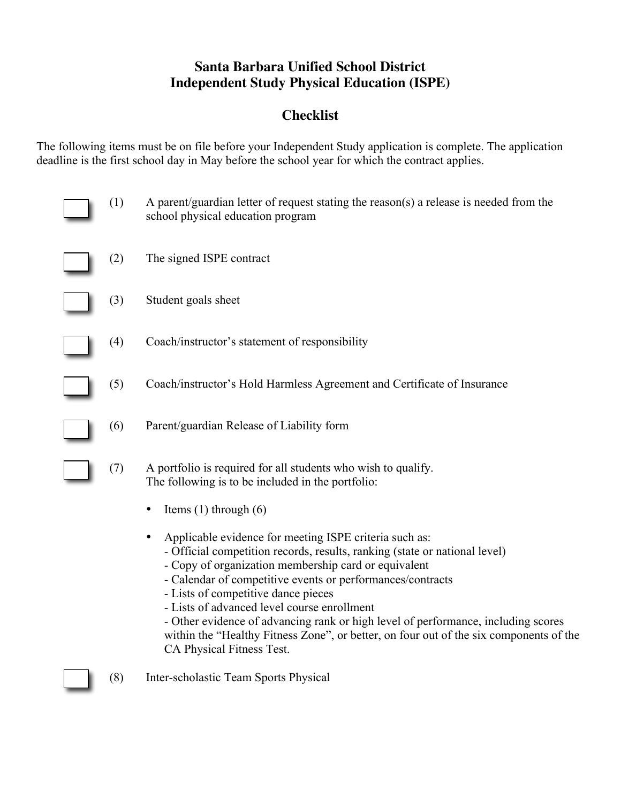## **Checklist**

The following items must be on file before your Independent Study application is complete. The application deadline is the first school day in May before the school year for which the contract applies.

| (1) | A parent/guardian letter of request stating the reason(s) a release is needed from the<br>school physical education program                                                                                                                                                                                                                                                                                                                                                                                                                                  |
|-----|--------------------------------------------------------------------------------------------------------------------------------------------------------------------------------------------------------------------------------------------------------------------------------------------------------------------------------------------------------------------------------------------------------------------------------------------------------------------------------------------------------------------------------------------------------------|
| (2) | The signed ISPE contract                                                                                                                                                                                                                                                                                                                                                                                                                                                                                                                                     |
| (3) | Student goals sheet                                                                                                                                                                                                                                                                                                                                                                                                                                                                                                                                          |
| (4) | Coach/instructor's statement of responsibility                                                                                                                                                                                                                                                                                                                                                                                                                                                                                                               |
| (5) | Coach/instructor's Hold Harmless Agreement and Certificate of Insurance                                                                                                                                                                                                                                                                                                                                                                                                                                                                                      |
| (6) | Parent/guardian Release of Liability form                                                                                                                                                                                                                                                                                                                                                                                                                                                                                                                    |
| (7) | A portfolio is required for all students who wish to qualify.<br>The following is to be included in the portfolio:                                                                                                                                                                                                                                                                                                                                                                                                                                           |
|     | Items $(1)$ through $(6)$                                                                                                                                                                                                                                                                                                                                                                                                                                                                                                                                    |
|     | Applicable evidence for meeting ISPE criteria such as:<br>- Official competition records, results, ranking (state or national level)<br>- Copy of organization membership card or equivalent<br>- Calendar of competitive events or performances/contracts<br>- Lists of competitive dance pieces<br>- Lists of advanced level course enrollment<br>- Other evidence of advancing rank or high level of performance, including scores<br>within the "Healthy Fitness Zone", or better, on four out of the six components of the<br>CA Physical Fitness Test. |
| (8) | Inter-scholastic Team Sports Physical                                                                                                                                                                                                                                                                                                                                                                                                                                                                                                                        |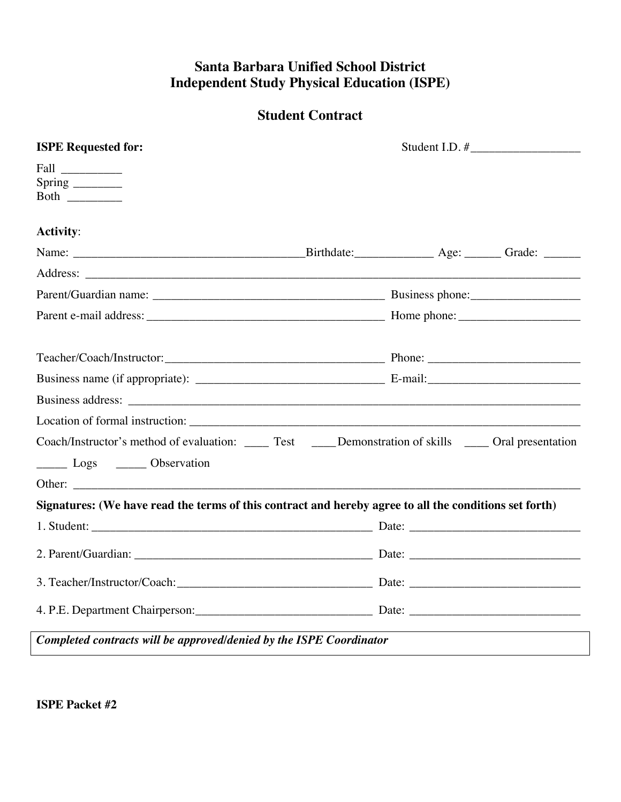## **Student Contract**

| <b>ISPE Requested for:</b>                                                                             |                                                                                                          |  |  |
|--------------------------------------------------------------------------------------------------------|----------------------------------------------------------------------------------------------------------|--|--|
| Fall<br>Spring _______<br>Both $\qquad$                                                                |                                                                                                          |  |  |
| <b>Activity:</b>                                                                                       |                                                                                                          |  |  |
|                                                                                                        |                                                                                                          |  |  |
|                                                                                                        |                                                                                                          |  |  |
|                                                                                                        |                                                                                                          |  |  |
|                                                                                                        |                                                                                                          |  |  |
|                                                                                                        |                                                                                                          |  |  |
|                                                                                                        |                                                                                                          |  |  |
|                                                                                                        |                                                                                                          |  |  |
|                                                                                                        |                                                                                                          |  |  |
|                                                                                                        | Coach/Instructor's method of evaluation: _____ Test _____Demonstration of skills _____ Oral presentation |  |  |
| Logs _______ Observation                                                                               |                                                                                                          |  |  |
|                                                                                                        |                                                                                                          |  |  |
| Signatures: (We have read the terms of this contract and hereby agree to all the conditions set forth) |                                                                                                          |  |  |
|                                                                                                        |                                                                                                          |  |  |
|                                                                                                        |                                                                                                          |  |  |
|                                                                                                        |                                                                                                          |  |  |
|                                                                                                        |                                                                                                          |  |  |
| Completed contracts will be approved/denied by the ISPE Coordinator                                    |                                                                                                          |  |  |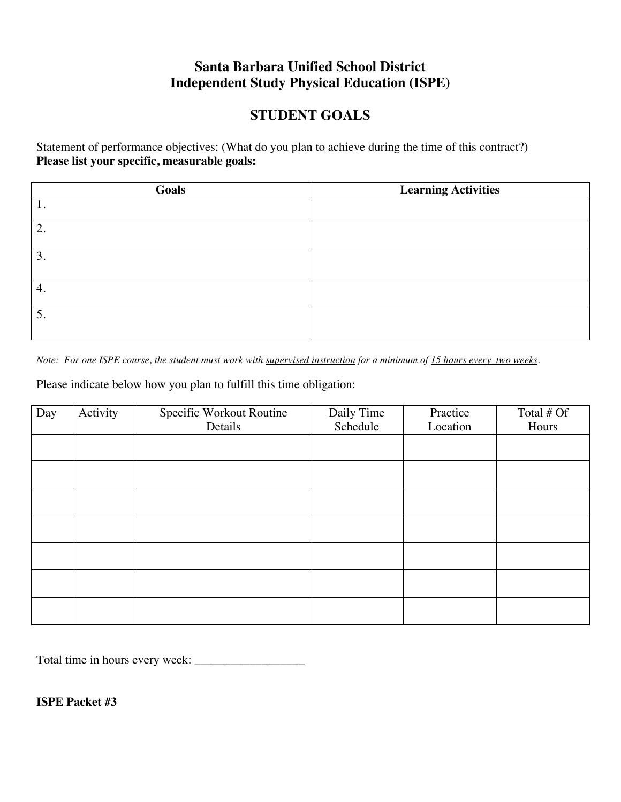### **STUDENT GOALS**

Statement of performance objectives: (What do you plan to achieve during the time of this contract?) **Please list your specific, measurable goals:** 

| Goals | <b>Learning Activities</b> |
|-------|----------------------------|
| 1.    |                            |
| 2.    |                            |
| 3.    |                            |
| 4.    |                            |
| 5.    |                            |

*Note: For one ISPE course, the student must work with supervised instruction for a minimum of 15 hours every two weeks.* 

Please indicate below how you plan to fulfill this time obligation:

| Day | Activity | Specific Workout Routine | Daily Time | Practice | Total # Of |
|-----|----------|--------------------------|------------|----------|------------|
|     |          | Details                  | Schedule   | Location | Hours      |
|     |          |                          |            |          |            |
|     |          |                          |            |          |            |
|     |          |                          |            |          |            |
|     |          |                          |            |          |            |
|     |          |                          |            |          |            |
|     |          |                          |            |          |            |
|     |          |                          |            |          |            |
|     |          |                          |            |          |            |

Total time in hours every week: \_\_\_\_\_\_\_\_\_\_\_\_\_\_\_\_\_\_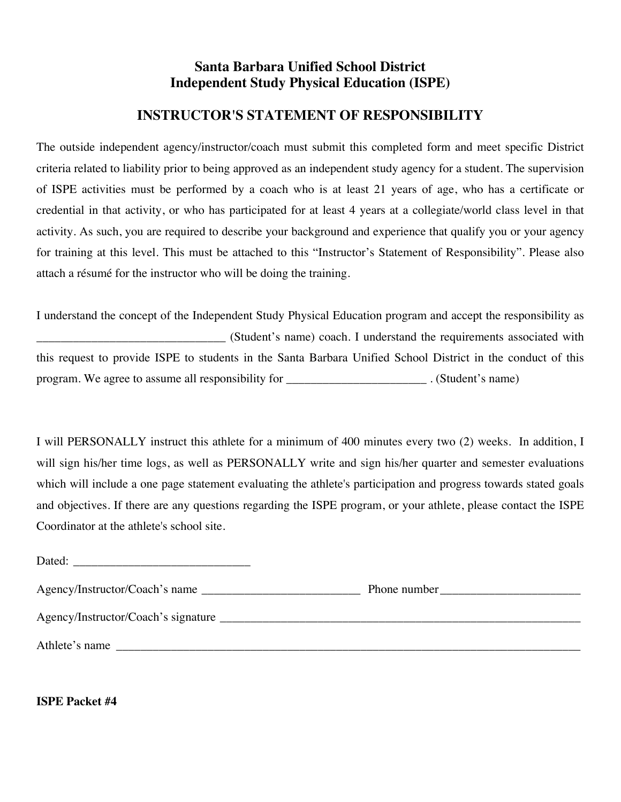### **INSTRUCTOR'S STATEMENT OF RESPONSIBILITY**

The outside independent agency/instructor/coach must submit this completed form and meet specific District criteria related to liability prior to being approved as an independent study agency for a student. The supervision of ISPE activities must be performed by a coach who is at least 21 years of age, who has a certificate or credential in that activity, or who has participated for at least 4 years at a collegiate/world class level in that activity. As such, you are required to describe your background and experience that qualify you or your agency for training at this level. This must be attached to this "Instructor's Statement of Responsibility". Please also attach a résumé for the instructor who will be doing the training.

I understand the concept of the Independent Study Physical Education program and accept the responsibility as \_\_\_\_\_\_\_\_\_\_\_\_\_\_\_\_\_\_\_\_\_\_\_\_\_\_\_\_\_\_\_ (Student's name) coach. I understand the requirements associated with this request to provide ISPE to students in the Santa Barbara Unified School District in the conduct of this program. We agree to assume all responsibility for  $\blacksquare$  . (Student's name)

I will PERSONALLY instruct this athlete for a minimum of 400 minutes every two (2) weeks. In addition, I will sign his/her time logs, as well as PERSONALLY write and sign his/her quarter and semester evaluations which will include a one page statement evaluating the athlete's participation and progress towards stated goals and objectives. If there are any questions regarding the ISPE program, or your athlete, please contact the ISPE Coordinator at the athlete's school site.

| Dated:<br><u> 1980 - Jan Samuel Barbara, margaret e populari e populari e populari e populari e populari e populari e popu</u> |              |
|--------------------------------------------------------------------------------------------------------------------------------|--------------|
|                                                                                                                                | Phone number |
|                                                                                                                                |              |
| Athlete's name                                                                                                                 |              |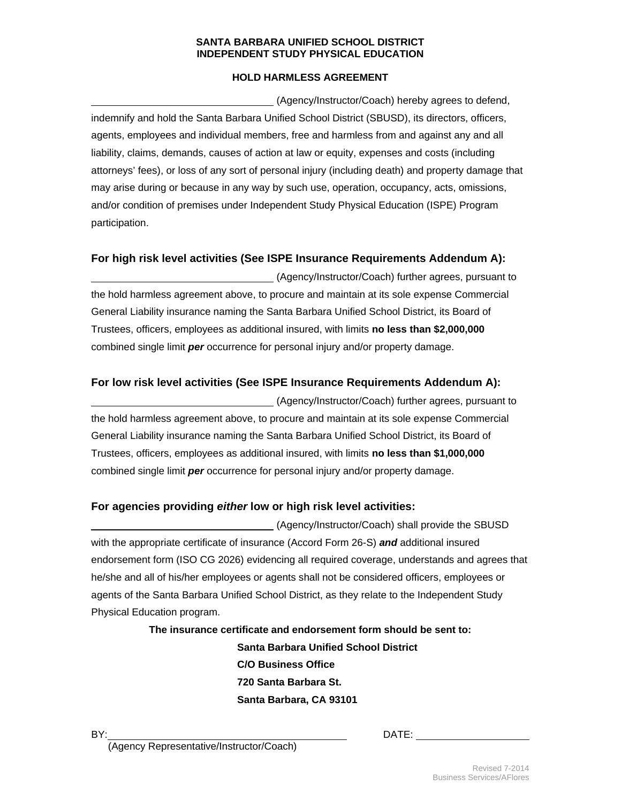#### **SANTA BARBARA UNIFIED SCHOOL DISTRICT INDEPENDENT STUDY PHYSICAL EDUCATION**

#### **HOLD HARMLESS AGREEMENT**

 (Agency/Instructor/Coach) hereby agrees to defend, indemnify and hold the Santa Barbara Unified School District (SBUSD), its directors, officers, agents, employees and individual members, free and harmless from and against any and all liability, claims, demands, causes of action at law or equity, expenses and costs (including attorneys' fees), or loss of any sort of personal injury (including death) and property damage that may arise during or because in any way by such use, operation, occupancy, acts, omissions, and/or condition of premises under Independent Study Physical Education (ISPE) Program participation.

#### **For high risk level activities (See ISPE Insurance Requirements Addendum A):**

 (Agency/Instructor/Coach) further agrees, pursuant to the hold harmless agreement above, to procure and maintain at its sole expense Commercial General Liability insurance naming the Santa Barbara Unified School District, its Board of Trustees, officers, employees as additional insured, with limits **no less than \$2,000,000** combined single limit *per* occurrence for personal injury and/or property damage.

#### **For low risk level activities (See ISPE Insurance Requirements Addendum A):**

 (Agency/Instructor/Coach) further agrees, pursuant to the hold harmless agreement above, to procure and maintain at its sole expense Commercial General Liability insurance naming the Santa Barbara Unified School District, its Board of Trustees, officers, employees as additional insured, with limits **no less than \$1,000,000**  combined single limit *per* occurrence for personal injury and/or property damage.

#### **For agencies providing** *either* **low or high risk level activities:**

 (Agency/Instructor/Coach) shall provide the SBUSD with the appropriate certificate of insurance (Accord Form 26-S) *and* additional insured endorsement form (ISO CG 2026) evidencing all required coverage, understands and agrees that he/she and all of his/her employees or agents shall not be considered officers, employees or agents of the Santa Barbara Unified School District, as they relate to the Independent Study Physical Education program.

> **The insurance certificate and endorsement form should be sent to: Santa Barbara Unified School District C/O Business Office 720 Santa Barbara St. Santa Barbara, CA 93101**

BY: DATE:

(Agency Representative/Instructor/Coach)

Revised 7-2014 Business Services/AFlores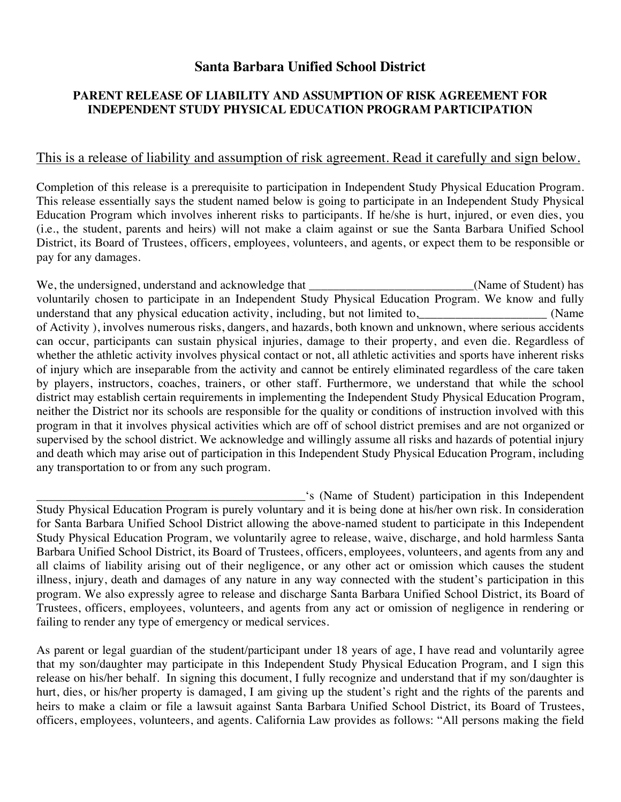### **Santa Barbara Unified School District**

### **PARENT RELEASE OF LIABILITY AND ASSUMPTION OF RISK AGREEMENT FOR INDEPENDENT STUDY PHYSICAL EDUCATION PROGRAM PARTICIPATION**

### This is a release of liability and assumption of risk agreement. Read it carefully and sign below.

Completion of this release is a prerequisite to participation in Independent Study Physical Education Program. This release essentially says the student named below is going to participate in an Independent Study Physical Education Program which involves inherent risks to participants. If he/she is hurt, injured, or even dies, you (i.e., the student, parents and heirs) will not make a claim against or sue the Santa Barbara Unified School District, its Board of Trustees, officers, employees, volunteers, and agents, or expect them to be responsible or pay for any damages.

We, the undersigned, understand and acknowledge that \_\_\_\_\_\_\_\_\_\_\_\_\_\_\_\_\_\_\_\_\_\_\_\_\_\_(Name of Student) has voluntarily chosen to participate in an Independent Study Physical Education Program. We know and fully understand that any physical education activity, including, but not limited to, Theorem 2013 (Name of Activity ), involves numerous risks, dangers, and hazards, both known and unknown, where serious accidents can occur, participants can sustain physical injuries, damage to their property, and even die. Regardless of whether the athletic activity involves physical contact or not, all athletic activities and sports have inherent risks of injury which are inseparable from the activity and cannot be entirely eliminated regardless of the care taken by players, instructors, coaches, trainers, or other staff. Furthermore, we understand that while the school district may establish certain requirements in implementing the Independent Study Physical Education Program, neither the District nor its schools are responsible for the quality or conditions of instruction involved with this program in that it involves physical activities which are off of school district premises and are not organized or supervised by the school district. We acknowledge and willingly assume all risks and hazards of potential injury and death which may arise out of participation in this Independent Study Physical Education Program, including any transportation to or from any such program.

\_\_\_\_\_\_\_\_\_\_\_\_\_\_\_\_\_\_\_\_\_\_\_\_\_\_\_\_\_\_\_\_\_\_\_\_\_\_\_\_\_\_\_\_'s (Name of Student) participation in this Independent Study Physical Education Program is purely voluntary and it is being done at his/her own risk. In consideration for Santa Barbara Unified School District allowing the above-named student to participate in this Independent Study Physical Education Program, we voluntarily agree to release, waive, discharge, and hold harmless Santa Barbara Unified School District, its Board of Trustees, officers, employees, volunteers, and agents from any and all claims of liability arising out of their negligence, or any other act or omission which causes the student illness, injury, death and damages of any nature in any way connected with the student's participation in this program. We also expressly agree to release and discharge Santa Barbara Unified School District, its Board of Trustees, officers, employees, volunteers, and agents from any act or omission of negligence in rendering or failing to render any type of emergency or medical services.

As parent or legal guardian of the student/participant under 18 years of age, I have read and voluntarily agree that my son/daughter may participate in this Independent Study Physical Education Program, and I sign this release on his/her behalf. In signing this document, I fully recognize and understand that if my son/daughter is hurt, dies, or his/her property is damaged, I am giving up the student's right and the rights of the parents and heirs to make a claim or file a lawsuit against Santa Barbara Unified School District, its Board of Trustees, officers, employees, volunteers, and agents. California Law provides as follows: "All persons making the field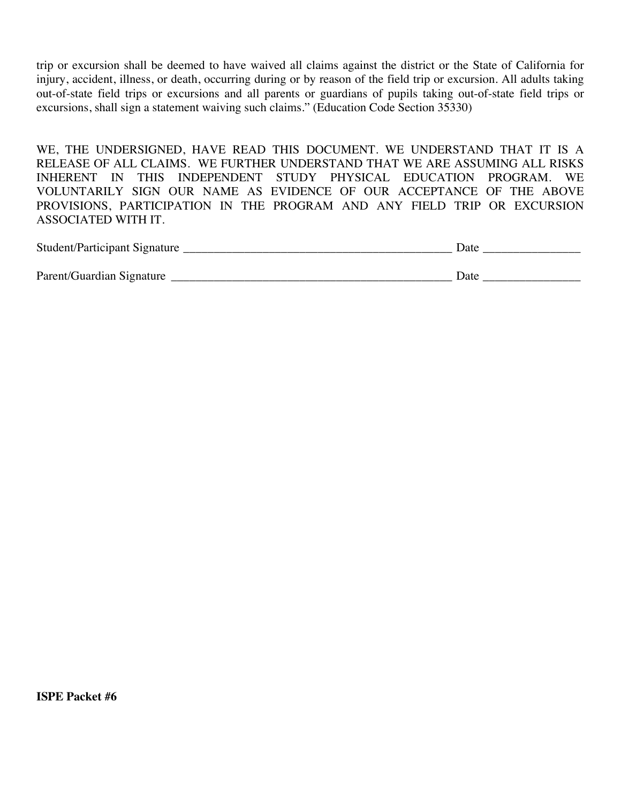trip or excursion shall be deemed to have waived all claims against the district or the State of California for injury, accident, illness, or death, occurring during or by reason of the field trip or excursion. All adults taking out-of-state field trips or excursions and all parents or guardians of pupils taking out-of-state field trips or excursions, shall sign a statement waiving such claims." (Education Code Section 35330)

WE, THE UNDERSIGNED, HAVE READ THIS DOCUMENT. WE UNDERSTAND THAT IT IS A RELEASE OF ALL CLAIMS. WE FURTHER UNDERSTAND THAT WE ARE ASSUMING ALL RISKS INHERENT IN THIS INDEPENDENT STUDY PHYSICAL EDUCATION PROGRAM. WE VOLUNTARILY SIGN OUR NAME AS EVIDENCE OF OUR ACCEPTANCE OF THE ABOVE PROVISIONS, PARTICIPATION IN THE PROGRAM AND ANY FIELD TRIP OR EXCURSION ASSOCIATED WITH IT.

| Student | Jate |
|---------|------|
|         |      |

| Parent/Guardian Signature | Jate |
|---------------------------|------|
|---------------------------|------|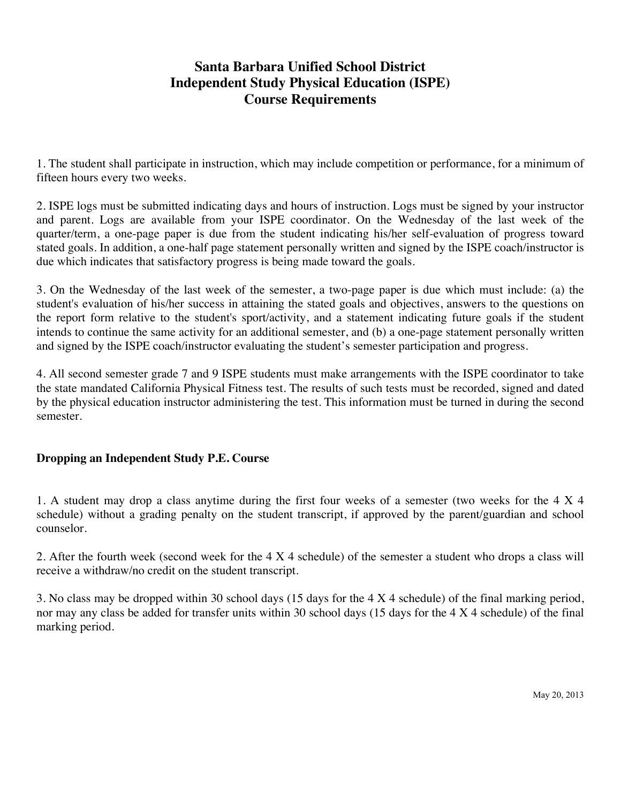## **Santa Barbara Unified School District Independent Study Physical Education (ISPE) Course Requirements**

1. The student shall participate in instruction, which may include competition or performance, for a minimum of fifteen hours every two weeks.

2. ISPE logs must be submitted indicating days and hours of instruction. Logs must be signed by your instructor and parent. Logs are available from your ISPE coordinator. On the Wednesday of the last week of the quarter/term, a one-page paper is due from the student indicating his/her self-evaluation of progress toward stated goals. In addition, a one-half page statement personally written and signed by the ISPE coach/instructor is due which indicates that satisfactory progress is being made toward the goals.

3. On the Wednesday of the last week of the semester, a two-page paper is due which must include: (a) the student's evaluation of his/her success in attaining the stated goals and objectives, answers to the questions on the report form relative to the student's sport/activity, and a statement indicating future goals if the student intends to continue the same activity for an additional semester, and (b) a one-page statement personally written and signed by the ISPE coach/instructor evaluating the student's semester participation and progress.

4. All second semester grade 7 and 9 ISPE students must make arrangements with the ISPE coordinator to take the state mandated California Physical Fitness test. The results of such tests must be recorded, signed and dated by the physical education instructor administering the test. This information must be turned in during the second semester.

### **Dropping an Independent Study P.E. Course**

1. A student may drop a class anytime during the first four weeks of a semester (two weeks for the 4 X 4 schedule) without a grading penalty on the student transcript, if approved by the parent/guardian and school counselor.

2. After the fourth week (second week for the 4 X 4 schedule) of the semester a student who drops a class will receive a withdraw/no credit on the student transcript.

3. No class may be dropped within 30 school days (15 days for the 4 X 4 schedule) of the final marking period, nor may any class be added for transfer units within 30 school days (15 days for the 4 X 4 schedule) of the final marking period.